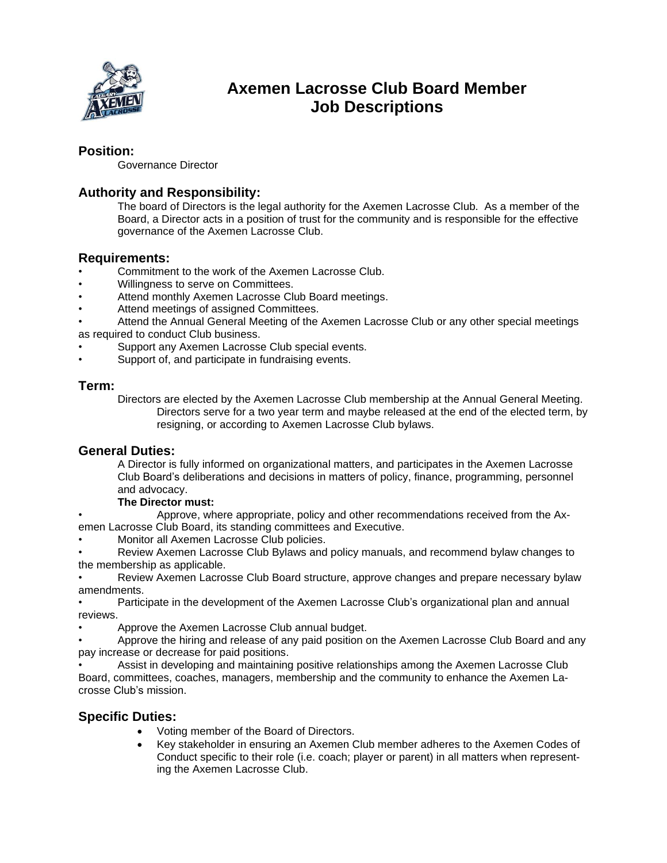

# **Axemen Lacrosse Club Board Member Job Descriptions**

## **Position:**

Governance Director

# **Authority and Responsibility:**

The board of Directors is the legal authority for the Axemen Lacrosse Club. As a member of the Board, a Director acts in a position of trust for the community and is responsible for the effective governance of the Axemen Lacrosse Club.

#### **Requirements:**

- Commitment to the work of the Axemen Lacrosse Club.
- Willingness to serve on Committees.
- Attend monthly Axemen Lacrosse Club Board meetings.
- Attend meetings of assigned Committees.
- Attend the Annual General Meeting of the Axemen Lacrosse Club or any other special meetings as required to conduct Club business.
- Support any Axemen Lacrosse Club special events.
- Support of, and participate in fundraising events.

### **Term:**

Directors are elected by the Axemen Lacrosse Club membership at the Annual General Meeting. Directors serve for a two year term and maybe released at the end of the elected term, by resigning, or according to Axemen Lacrosse Club bylaws.

#### **General Duties:**

A Director is fully informed on organizational matters, and participates in the Axemen Lacrosse Club Board's deliberations and decisions in matters of policy, finance, programming, personnel and advocacy.

#### **The Director must:**

• Approve, where appropriate, policy and other recommendations received from the Axemen Lacrosse Club Board, its standing committees and Executive.

• Monitor all Axemen Lacrosse Club policies.

• Review Axemen Lacrosse Club Bylaws and policy manuals, and recommend bylaw changes to the membership as applicable.

• Review Axemen Lacrosse Club Board structure, approve changes and prepare necessary bylaw amendments.

• Participate in the development of the Axemen Lacrosse Club's organizational plan and annual reviews.

• Approve the Axemen Lacrosse Club annual budget.

• Approve the hiring and release of any paid position on the Axemen Lacrosse Club Board and any pay increase or decrease for paid positions.

• Assist in developing and maintaining positive relationships among the Axemen Lacrosse Club Board, committees, coaches, managers, membership and the community to enhance the Axemen Lacrosse Club's mission.

# **Specific Duties:**

- Voting member of the Board of Directors.
- Key stakeholder in ensuring an Axemen Club member adheres to the Axemen Codes of Conduct specific to their role (i.e. coach; player or parent) in all matters when representing the Axemen Lacrosse Club.